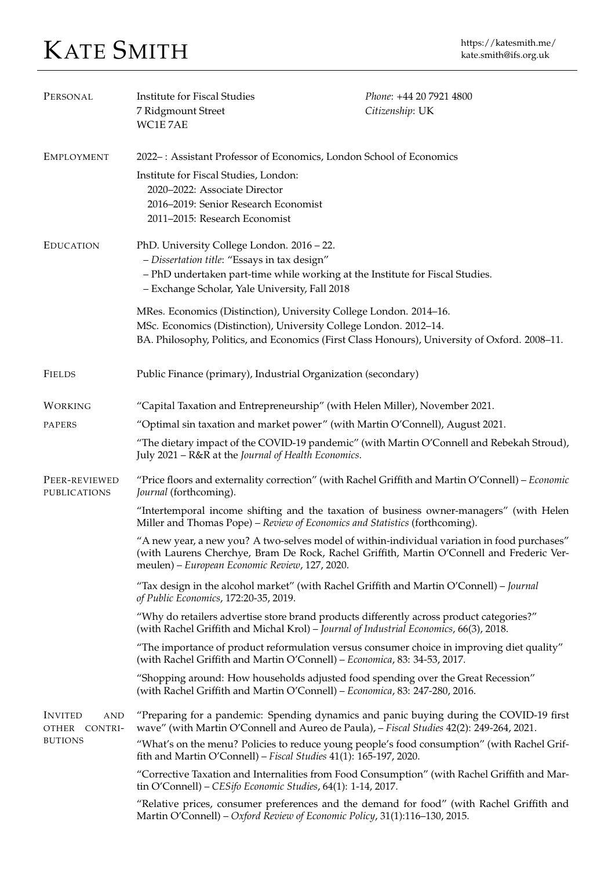## KATE SMITH https://katesmith.me/

| PERSONAL                                                 | Institute for Fiscal Studies<br>7 Ridgmount Street<br>WC1E7AE                                                                                                                                                                               | Phone: +44 20 7921 4800<br>Citizenship: UK |
|----------------------------------------------------------|---------------------------------------------------------------------------------------------------------------------------------------------------------------------------------------------------------------------------------------------|--------------------------------------------|
| <b>EMPLOYMENT</b>                                        | 2022 -: Assistant Professor of Economics, London School of Economics<br>Institute for Fiscal Studies, London:<br>2020-2022: Associate Director<br>2016-2019: Senior Research Economist<br>2011-2015: Research Economist                     |                                            |
| <b>EDUCATION</b>                                         | PhD. University College London. 2016 - 22.<br>- Dissertation title: "Essays in tax design"<br>- PhD undertaken part-time while working at the Institute for Fiscal Studies.<br>- Exchange Scholar, Yale University, Fall 2018               |                                            |
|                                                          | MRes. Economics (Distinction), University College London. 2014-16.<br>MSc. Economics (Distinction), University College London. 2012-14.<br>BA. Philosophy, Politics, and Economics (First Class Honours), University of Oxford. 2008-11.    |                                            |
| <b>FIELDS</b>                                            | Public Finance (primary), Industrial Organization (secondary)                                                                                                                                                                               |                                            |
| WORKING                                                  | "Capital Taxation and Entrepreneurship" (with Helen Miller), November 2021.                                                                                                                                                                 |                                            |
| PAPERS                                                   | "Optimal sin taxation and market power" (with Martin O'Connell), August 2021.                                                                                                                                                               |                                            |
|                                                          | "The dietary impact of the COVID-19 pandemic" (with Martin O'Connell and Rebekah Stroud),<br>July 2021 - R&R at the Journal of Health Economics.                                                                                            |                                            |
| PEER-REVIEWED<br>PUBLICATIONS                            | "Price floors and externality correction" (with Rachel Griffith and Martin O'Connell) - Economic<br>Journal (forthcoming).                                                                                                                  |                                            |
|                                                          | "Intertemporal income shifting and the taxation of business owner-managers" (with Helen<br>Miller and Thomas Pope) - Review of Economics and Statistics (forthcoming).                                                                      |                                            |
|                                                          | "A new year, a new you? A two-selves model of within-individual variation in food purchases"<br>(with Laurens Cherchye, Bram De Rock, Rachel Griffith, Martin O'Connell and Frederic Ver-<br>meulen) – European Economic Review, 127, 2020. |                                            |
|                                                          | "Tax design in the alcohol market" (with Rachel Griffith and Martin O'Connell) - Journal<br>of Public Economics, 172:20-35, 2019.                                                                                                           |                                            |
|                                                          | "Why do retailers advertise store brand products differently across product categories?"<br>(with Rachel Griffith and Michal Krol) - Journal of Industrial Economics, 66(3), 2018.                                                          |                                            |
|                                                          | "The importance of product reformulation versus consumer choice in improving diet quality"<br>(with Rachel Griffith and Martin O'Connell) - Economica, 83: 34-53, 2017.                                                                     |                                            |
|                                                          | "Shopping around: How households adjusted food spending over the Great Recession"<br>(with Rachel Griffith and Martin O'Connell) - Economica, 83: 247-280, 2016.                                                                            |                                            |
| <b>INVITED</b><br>AND<br>OTHER CONTRI-<br><b>BUTIONS</b> | "Preparing for a pandemic: Spending dynamics and panic buying during the COVID-19 first<br>wave" (with Martin O'Connell and Aureo de Paula), - Fiscal Studies 42(2): 249-264, 2021.                                                         |                                            |
|                                                          | "What's on the menu? Policies to reduce young people's food consumption" (with Rachel Grif-<br>fith and Martin O'Connell) – Fiscal Studies 41(1): 165-197, 2020.                                                                            |                                            |
|                                                          | "Corrective Taxation and Internalities from Food Consumption" (with Rachel Griffith and Mar-<br>tin O'Connell) - CESifo Economic Studies, 64(1): 1-14, 2017.                                                                                |                                            |
|                                                          | "Relative prices, consumer preferences and the demand for food" (with Rachel Griffith and<br>Martin O'Connell) - Oxford Review of Economic Policy, 31(1):116-130, 2015.                                                                     |                                            |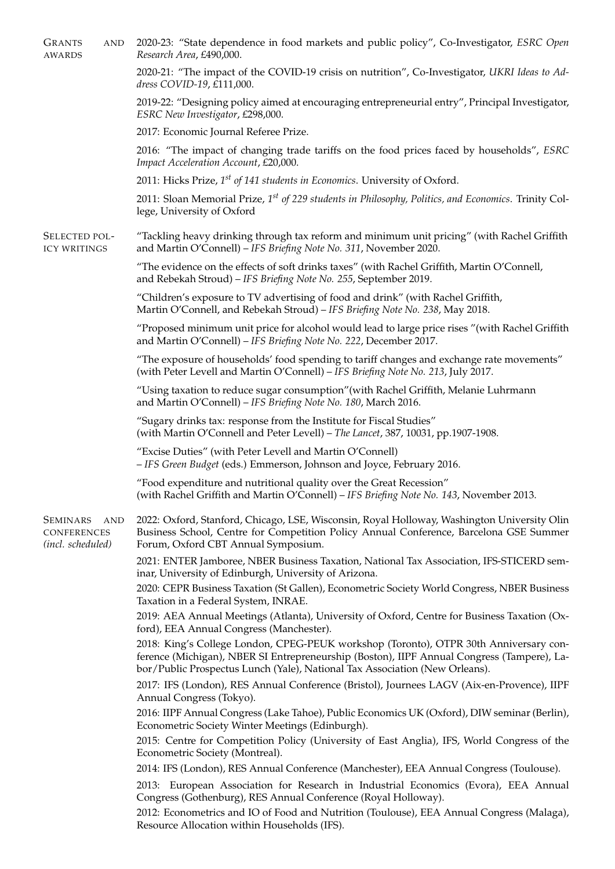| <b>GRANTS</b><br><b>AND</b><br><b>AWARDS</b>                             | 2020-23: "State dependence in food markets and public policy", Co-Investigator, ESRC Open<br>Research Area, £490,000.                                                                                                                                              |  |
|--------------------------------------------------------------------------|--------------------------------------------------------------------------------------------------------------------------------------------------------------------------------------------------------------------------------------------------------------------|--|
|                                                                          | 2020-21: "The impact of the COVID-19 crisis on nutrition", Co-Investigator, UKRI Ideas to Ad-<br>dress COVID-19, £111,000.                                                                                                                                         |  |
|                                                                          | 2019-22: "Designing policy aimed at encouraging entrepreneurial entry", Principal Investigator,<br>ESRC New Investigator, £298,000.                                                                                                                                |  |
|                                                                          | 2017: Economic Journal Referee Prize.                                                                                                                                                                                                                              |  |
|                                                                          | 2016: "The impact of changing trade tariffs on the food prices faced by households", ESRC<br>Impact Acceleration Account, £20,000.                                                                                                                                 |  |
|                                                                          | 2011: Hicks Prize, $1^{st}$ of 141 students in Economics. University of Oxford.                                                                                                                                                                                    |  |
|                                                                          | 2011: Sloan Memorial Prize, 1 <sup>st</sup> of 229 students in Philosophy, Politics, and Economics. Trinity Col-<br>lege, University of Oxford                                                                                                                     |  |
| SELECTED POL-<br><b>ICY WRITINGS</b>                                     | "Tackling heavy drinking through tax reform and minimum unit pricing" (with Rachel Griffith<br>and Martin O'Connell) - IFS Briefing Note No. 311, November 2020.                                                                                                   |  |
|                                                                          | "The evidence on the effects of soft drinks taxes" (with Rachel Griffith, Martin O'Connell,<br>and Rebekah Stroud) - IFS Briefing Note No. 255, September 2019.                                                                                                    |  |
|                                                                          | "Children's exposure to TV advertising of food and drink" (with Rachel Griffith,<br>Martin O'Connell, and Rebekah Stroud) - IFS Briefing Note No. 238, May 2018.                                                                                                   |  |
|                                                                          | "Proposed minimum unit price for alcohol would lead to large price rises "(with Rachel Griffith<br>and Martin O'Connell) - IFS Briefing Note No. 222, December 2017.                                                                                               |  |
|                                                                          | "The exposure of households' food spending to tariff changes and exchange rate movements"<br>(with Peter Levell and Martin O'Connell) - IFS Briefing Note No. 213, July 2017.                                                                                      |  |
|                                                                          | "Using taxation to reduce sugar consumption" (with Rachel Griffith, Melanie Luhrmann<br>and Martin O'Connell) - IFS Briefing Note No. 180, March 2016.                                                                                                             |  |
|                                                                          | "Sugary drinks tax: response from the Institute for Fiscal Studies"<br>(with Martin O'Connell and Peter Levell) - The Lancet, 387, 10031, pp.1907-1908.                                                                                                            |  |
|                                                                          | "Excise Duties" (with Peter Levell and Martin O'Connell)<br>- IFS Green Budget (eds.) Emmerson, Johnson and Joyce, February 2016.                                                                                                                                  |  |
|                                                                          | "Food expenditure and nutritional quality over the Great Recession"<br>(with Rachel Griffith and Martin O'Connell) - IFS Briefing Note No. 143, November 2013.                                                                                                     |  |
| <b>SEMINARS</b><br><b>AND</b><br><b>CONFERENCES</b><br>(incl. scheduled) | 2022: Oxford, Stanford, Chicago, LSE, Wisconsin, Royal Holloway, Washington University Olin<br>Business School, Centre for Competition Policy Annual Conference, Barcelona GSE Summer<br>Forum, Oxford CBT Annual Symposium.                                       |  |
|                                                                          | 2021: ENTER Jamboree, NBER Business Taxation, National Tax Association, IFS-STICERD sem-<br>inar, University of Edinburgh, University of Arizona.                                                                                                                  |  |
|                                                                          | 2020: CEPR Business Taxation (St Gallen), Econometric Society World Congress, NBER Business<br>Taxation in a Federal System, INRAE.                                                                                                                                |  |
|                                                                          | 2019: AEA Annual Meetings (Atlanta), University of Oxford, Centre for Business Taxation (Ox-<br>ford), EEA Annual Congress (Manchester).                                                                                                                           |  |
|                                                                          | 2018: King's College London, CPEG-PEUK workshop (Toronto), OTPR 30th Anniversary con-<br>ference (Michigan), NBER SI Entrepreneurship (Boston), IIPF Annual Congress (Tampere), La-<br>bor/Public Prospectus Lunch (Yale), National Tax Association (New Orleans). |  |
|                                                                          | 2017: IFS (London), RES Annual Conference (Bristol), Journees LAGV (Aix-en-Provence), IIPF<br>Annual Congress (Tokyo).                                                                                                                                             |  |
|                                                                          | 2016: IIPF Annual Congress (Lake Tahoe), Public Economics UK (Oxford), DIW seminar (Berlin),<br>Econometric Society Winter Meetings (Edinburgh).                                                                                                                   |  |
|                                                                          | 2015: Centre for Competition Policy (University of East Anglia), IFS, World Congress of the<br>Econometric Society (Montreal).                                                                                                                                     |  |
|                                                                          | 2014: IFS (London), RES Annual Conference (Manchester), EEA Annual Congress (Toulouse).                                                                                                                                                                            |  |
|                                                                          | 2013: European Association for Research in Industrial Economics (Evora), EEA Annual<br>Congress (Gothenburg), RES Annual Conference (Royal Holloway).                                                                                                              |  |
|                                                                          | 2012: Econometrics and IO of Food and Nutrition (Toulouse), EEA Annual Congress (Malaga),<br>Resource Allocation within Households (IFS).                                                                                                                          |  |